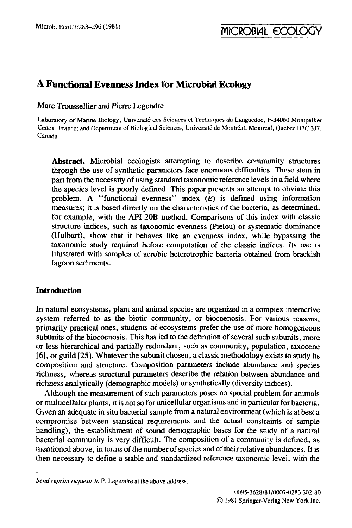# **A Functional Evenness Index for Microbial Ecology**

## Marc Troussellier and Pierre Legendre

Laboratory of Marine Biology, Université des Sciences et Techniques du Languedoc, F-34060 Montpellier Cedex, France; and Department of Biological Sciences, Universit6 de Montreal, Montreal, Quebec H3C 3J7, Canada

**Abstract.** Microbial ecologists attempting to describe community structures through the use of synthetic parameters face enormous difficulties. These stem in part from the necessity of using standard taxonomic reference levels in a field where the species level is poorly defined. This paper presents an attempt to obviate this problem. A "functional evenness" index  $(E)$  is defined using information measures; it is based directly on the characteristics of the bacteria, as determined, for example, with the API 20B method. Comparisons of this index with classic structure indices, such as taxonomic evenness (Pielou) or systematic dominance (Hulburt), show that it behaves like an evenness index, while bypassing the taxonomic study required before computation of the classic indices. Its use is illustrated with samples of aerobic heterotrophic bacteria obtained from brackish lagoon sediments.

## **Introduction**

In natural ecosystems, plant and animal species are organized in a complex interactive system referred to as the biotic community, or biocoenosis. For various reasons, primarily practical ones, students of ecosystems prefer the use of more homogeneous subunits of the biocoenosis. This has led to the definition of several such subunits, more or less hierarchical and partially redundant, such as community, population, taxocene [6], or guild [25]. Whatever the subunit chosen, a classic methodology exists to study its composition and structure. Composition parameters include abundance and species richness, whereas structural parameters describe the relation between abundance and richness analytically (demographic models) or synthetically (diversity indices).

Although the measurement of such parameters poses no special problem for animals or multicellular plants, it is not so for unicellular organisms and in particular for bacteria. Given an adequate in situ bacterial sample from a natural environment (which is at best a compromise between statistical requirements and the actual constraints of sample handling), the establishment of sound demographic bases for the study of a natural bacterial community is very difficult. The composition of a community is defined, as mentioned above, in terms of the number of species and of their relative abundances. It is then necessary to define a stable and standardized reference taxonomic level, with the

*Send reprint requesls to* P. Legendre at the above address.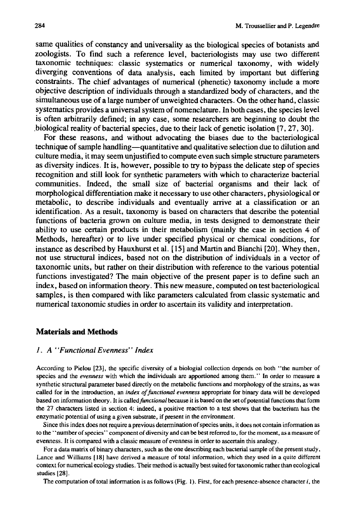same qualities of constancy and universality as the biological species of botanists and zoologists. To find such a reference level, bacteriologists may use two different taxonomic techniques: classic systematics or numerical taxonomy, with widely diverging conventions of data analysis, each limited by important but differing constraints. The chief advantages of numerical (phenetic) taxonomy include a more objective description of individuals through a standardized body of characters, and the simultaneous use of a large number of unweighted characters. On the other hand, classic systematics provides a universal system of nomenclature. In both cases, the species level is often arbitrarily defined; in any case, some researchers are beginning to doubt the .biological reality of bacterial species, due to their lack of genetic isolation [7, 27, 30].

For these reasons, and without advocating the biases due to the bacteriological technique of sample handling--quantitative and qualitative selection due to dilution and culture media, it may seem unjustified to compute even such simple structure parameters as diversity indices. It is, however, possible to try to bypass the delicate step of species recognition and still look for synthetic parameters with which to characterize bacterial communities. Indeed, the small size of bacterial organisms and their lack of morphological differentiation make it necessary to use other characters, physiological or metabolic, to describe individuals and eventually arrive at a classification or an identification. As a result, taxonomy is based on characters that describe the potential functions of bacteria grown on culture media, in tests designed to demonstrate their ability to use certain products in their metabolism (mainly the case in section 4 of Methods, hereafter) or to live under specified physical or chemical conditions, for instance as described by Hauxhurst et al. [ 15] and Martin and Bianchi [20]. Whey then, not use structural indices, based not on the distribution of individuals in a vector of taxonomic units, but rather on their distribution with reference to the various potential functions investigated? The main objective of the present paper is to define such an index, based on information theory. This new measure, computed on test bacteriological samples, is then compared with like parameters calculated from classic systematic and numerical taxonomic studies in order to ascertain its validity and interpretation.

#### **Materials and Methods**

### *1. A "Functional Evenness" Index*

According to Pielou [23], the specific diversity of a biologial collection depends on both "the number of species and the *evenness* with which the individuals are apportioned among them.'" In order to measure a synthetic structural parameter based directly on the metabolic functions and morphology of the strains, as was called for in the introduction, an *index of functional evenness* appropriate for binary data will be developed based on information theory. It is *called functional* because it is based on the set of potential functions that form the 27 characters listed in section 4: indeed, a positive reaction to a test shows that the bacterium has the enzymatic potential of using a given substrate, if present in the environment.

Since this index does not require a previous determination of species units, it does not contain information as to the "'number of species" component of diversity and can be best referred to, for the moment, as a measure of evenness. It is compared with a classic measure of evenness in order to ascertain this analogy.

For a data matrix of binary characters, such as the one describing each bacterial sample of the present study, Lance and Williams [18] have derived a measure of total information, which they used in a quite different context for numerical ecology studies. Their method is actually best suited for taxonomic rather than ecological studies [28].

The computation of total information is as follows (Fig. I). First, for each presence-absence character i, the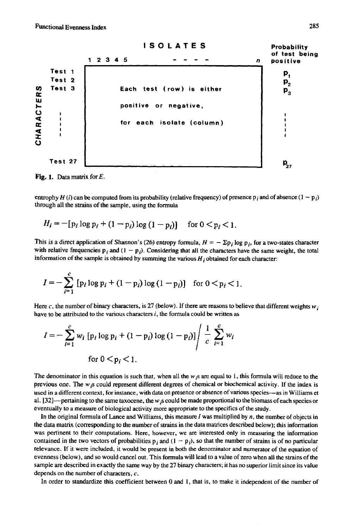

Fig. 1. Data matrix for  $E$ .

entrophy H (i) can be computed from its probability (relative frequency) of presence  $p_i$  and of absence  $(1 - p_i)$ through all the strains of the sample, using the formula

$$
H_i = -[p_i \log p_i + (1 - p_i) \log (1 - p_i)] \quad \text{for } 0 < p_i < 1.
$$

This is a direct application of Shannon's (26) entropy formula,  $H = -\Sigma p_i \log p_i$ , for a two-states character with relative frequencies  $p_i$  and  $(1 - p_i)$ . Considering that all the characters have the same weight, the total information of the sample is obtained by summing the various  $H_i$  obtained for each character:

$$
I = -\sum_{i=1}^{c} [p_i \log p_i + (1 - p_i) \log (1 - p_i)] \text{ for } 0 < p_i < 1.
$$

Here c, the number of binary characters, is 27 (below). If there are reasons to believe that different weights  $w_i$ have to be attributed to the various characters *i, the* formula could be written as

$$
I = -\sum_{i=1}^{c} w_i \left[ p_i \log p_i + (1 - p_i) \log (1 - p_i) \right] \left( \frac{1}{c} \sum_{i=1}^{c} w_i \right)
$$
  
for  $0 < p_i < 1$ .

The denominator in this equation is such that, when all the *wis are* equal to 1, this formula will reduce to the previous one. The *wis* could represent different degrees of chemical or biochemical activity. If the index is used in a different context, for instance, with data on presence or absence of various species--as in Williams et al.  $[32]$ ----pertaining to the same taxocene, the *w<sub>i</sub>s* could be made proportional to the biomass of each species or eventually to a measure of biological activity more appropriate to the specifics of the study.

In the original formula of Lance and Williams, this measure  $I$  was multiplied by  $n$ , the number of objects in the data matrix (corresponding to the number of strains in the data matrices described below); this information was pertinent to their computations. Here, however, we are interested only in measuring the information contained in the two vectors of probabilities  $p_i$  and  $(1 - p_i)$ , so that the number of strains is of no particular relevance. If it were included, it would be present in both the denominator and numerator of the equation of evenness (below), and so would cancel out. This formula will lead to a value of zero when all the strains of the sample are described in exactly the same way by the 27 binary characters; it has no superior limit since its value depends on the number of characters,  $c$ .

In order to standardize this coefficient between 0 and 1, that is, to make it independent of the number of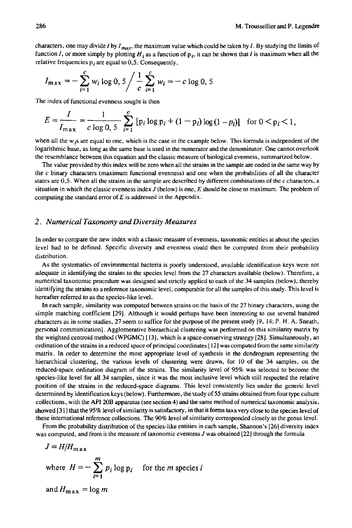characters, one may divide *l* by  $l_{max}$ , the maximum value which could be taken by *l*. By studying the limits of function *I*, or more simply by plotting  $H_i$  as a function of  $p_i$ , it can be shown that *I* is maximum when all the relative frequencies  $p_i$  are equal to 0,5. Consequently,

$$
I_{\max} = -\sum_{i=1}^{c} w_i \log 0, 5 / \frac{1}{c} \sum_{i=1}^{c} w_i = -c \log 0, 5
$$

The index of functional evenness sought is then

$$
E = \frac{I}{I_{\max}} = \frac{1}{c \log 0, 5} \sum_{i=1}^{c} \left[ p_i \log p_i + (1 - p_i) \log (1 - p_i) \right] \text{ for } 0 < p_i < 1,
$$

when all the *wis are* equal to one, which is the case in the example below. This formula is independent of the logarithmic base, as long as the same base is used in the numerator and the denominator. One cannot overlook the resemblance between this equation and the classic measure of biological evenness, summarized below.

The value provided by this index will be zero when all the strains in the sample are coded in the same way by the  $c$  binary characters (maximum functional evenness) and one when the probabilities of all the character states are  $0,5$ . When all the strains in the sample are described by different combinations of the c characters, a situation in which the classic evenness index  $J$  (below) is one,  $E$  should be close to maximum. The problem of computing the standard error of  $E$  is addressed in the Appendix.

#### *2. Numerical Taxonomy and Diversity Measures*

In order to compare the new index with a classic measure of evenness, taxonomic entities at about the species level had to be defined. Specific diversity and evenness could then be computed from their probability distribution.

As the systematics of environmental bacteria is poorly understood, available identification keys were not adequate in identifying the strains to the species level from the 27 characters available (below). Therefore, a numerical taxonomic procedure was designed and stricdy applied to each of the 34 samples (below), thereby identifying the strains to a reference taxonomic level, comparable for all the samples of this study. This level is hereafter referred to as the species-like level.

In each sample, similarity was computed between strains on the basis of the 27 binary characters, using the simple matching coefficient [29]. Although it would perhaps have been interesting to use several hundred characters as in some studies, 27 seem to suffice for the purpose of the present study [9, 14; P, H. A. Sneath, personal communication]. Agglomerative hierarchical clustering was performed on this similarity matrix by the weighted centroid method (WPGMC) [ 13], which is a space-conserving strategy [28]. Simultaneously, an ordination of the strains in a reduced space of principal coordinates [ 12] was computed from the same similarity matrix. In order to determine the most appropriate level of synthesis in the dendrogram representing the hierarchical clustering, the various levels of clustering were drawn, for 10 of the 34 samples, on the reduced-space ordination diagram of the strains. The similarity level of 95% was selected to become the species-like level for all 34 samples, since it was the most inclusive level which still respected the relative position of the strains in the reduced-space diagrams. This level consistently lies under the generic level determined by identification keys (below). Furthermore, the study of 55 strains obtained from four type culture collections, with the API 20B apparatus (see section 4) and the same method of numerical taxonomic analysis, showed [31 ] that the 95% level of similarity is satisfactory, in that it forms taxa very close to the species level of these international reference collections. The 90% level of similarity corresponded closely to the genus level.

From the probability distribution of the species-like entities in each sample, Shannon's [26] diversity index was computed, and from it the measure of taxonomic evenness J was obtained [22] through the formula

$$
J = H/H_{\text{max}}
$$
  
where  $H = -\sum_{i=1}^{m} p_i \log p_i$  for the *m* species *i*  
and  $H_{\text{max}} = \log m$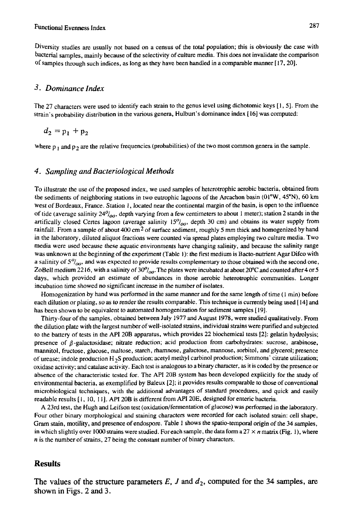Diversity studies are usually not based on a census of the total population; this is obviously the case with bacterial samples, mainly because of the selectivity of culture media. This does not invalidate the comparison of samples through such indices, as long as they have been handled in a comparable manner [17, 20].

#### *3. Dominance Index*

The 27 characters were used to identify each strain to the genus level using dichotomic keys [1, 5]. From the strain's probability distribution in the various genera, Hulburt's dominance index [ 16] was computed:

$$
d_2 = \mathbf{p}_1 + \mathbf{p}_2
$$

where  $p_1$  and  $p_2$  are the relative frequencies (probabilities) of the two most common genera in the sample.

#### *4. Sampling and Bacteriological Methods*

To illustrate the use of the proposed index, we used samples of heterotrophic aerobic bacteria, obtained from the sediments of neighboring stations in two eutrophic lagoons of the Arcachon basin (01°W, 45°N), 60 km west of Bordeaux, France. Station 1, located near the continental margin of the basin, is open to the influence of tide (average salinity  $24\%$ <sub>00</sub>, depth varying from a few centimeters to about 1 meter); station 2 stands in the artifically closed Certes lagoon (average salinity  $15\%$ <sub>00</sub>, depth 30 cm) and obtains its water supply from rainfall. From a sample of about 400 cm<sup>2</sup> of surface sediment, roughly 5 mm thick and homogenized by hand in the laboratory, diluted aliquot fractions were counted via spread plates employing two culture media. Two media were used because these aquatic environments have changing salinity, and because the salinity range was unknown at the beginning of the experiment (Table I): the first medium is Bacto-nutrient Agar Difco with a salinity of  $5\%_{oo}$ , and was expected to provide results complementary to those obtained with the second one, ZoBell medium 2216, with a salinity of  $30\%$ <sub>00</sub>. The plates were incubated at about 20°C and counted after 4 or 5 days, which provided an estimate of abundances in those aerobic heterotrophic communities. Longer incubation time showed no significant increase in the number of isolates.

Homogenization by hand was performed in the same manner and for the same length of time (1 min) before each dilution or plating, so as to render the results comparable. This technique is currently being used [ 14] and has been shown to be equivalent to automated homogenization for sediment samples [ 19].

Thirty-four of the samples, obtained between July 1977 and August 1978, were studied qualitatively. From the dilution plate with the largest number of well-isolated strains, individual strains were purified and subjected to the battery of tests in the API 20B apparatus, which provides 22 biochemical tests [2]: gelatin hydrolysis; presence of  $\beta$ -galactosidase; nitrate reduction; acid production from carbohydrates: sucrose, arabinose, mannitol, fructose, glucose, maltose, starch, rhamnose, galactose, mannose, sorbitol, and glycerol; presence of urease; indole production H<sub>2</sub>S production; acetyl methyl carbinol production; Simmons' citrate utilization; oxidase activity; and catalase activity. Each test is analogous to a binary character, as it is coded by the presence or absence of the characteristic tested for. The API 20B system has been developed explicitly for the study of environmental bacteria, as exemplified by Baleux [2]; it provides results comparable to those of conventional microbiological techniques, with the additional advantages of standard procedures, and quick and easily readable results [1, 10, 11]. API 20B is different from API 20E, designed for enteric bacteria.

A 23rd test, the Hugh and Leifson test *(oxidation/fermentation of glucose)* was performed in the laboratory. Four other binary morphological and staining characters were recorded for each isolated strain: cell shape, Gram stain, motility, and presence of endospore. Table 1 shows the spatio-temporal origin of the 34 samples, in which slightly over 1000 strains were studied. For each sample, the data form a  $27 \times n$  matrix (Fig. 1), where n is the number of strains, 27 being the constant number of binary characters.

#### **Results**

The values of the structure parameters E, J and  $d_2$ , computed for the 34 samples, are shown in Figs. 2 and 3.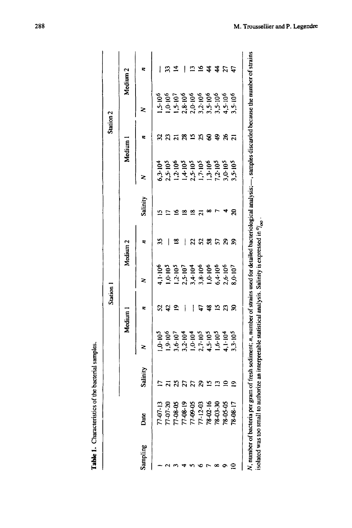|          |                                                                         | I        |                                                         |        |                                                                                           |                     |          |                                            |                |                                                          |                     |
|----------|-------------------------------------------------------------------------|----------|---------------------------------------------------------|--------|-------------------------------------------------------------------------------------------|---------------------|----------|--------------------------------------------|----------------|----------------------------------------------------------|---------------------|
|          |                                                                         |          |                                                         | Medium |                                                                                           | Medium <sub>2</sub> |          | Medium                                     |                |                                                          | Medium <sub>2</sub> |
| sampling | Date                                                                    | Salinity | z                                                       |        | 2                                                                                         |                     | Salinity | 2                                          |                | 2                                                        | z.                  |
|          | $7 - 07 - 13$                                                           |          | 0.10 <sup>5</sup>                                       |        | 1.106                                                                                     | ລ                   |          | $3.3 \cdot 10^{4}$                         |                | $1.5.10^{6}$                                             |                     |
|          |                                                                         |          | 1,9-106                                                 | ₽      |                                                                                           |                     |          | 2,5-105                                    |                | $0.10^{6}$                                               |                     |
|          | 77-07-20<br>77-08-55<br>77-08-77<br>77-12-03-16<br>78-02-16<br>78-03-30 |          | $3,6 - 107$                                             |        | $1,0.105$<br>$1,2.105$<br>$1,3.4.106$<br>$1,4.106$<br>$1,0.8.106$<br>$1,0.7.3$<br>$1,0.9$ |                     |          | 1,2-106                                    |                | $1,5.10^{7}$<br>2,8.106<br>2,0.106<br>3,5.106<br>3,5.106 |                     |
|          |                                                                         |          |                                                         |        |                                                                                           |                     |          | 1,4.10 <sup>5</sup>                        |                |                                                          |                     |
|          |                                                                         |          | $3,2.104$<br>1,0.10 <sup>4</sup><br>2,7.10 <sup>5</sup> |        |                                                                                           |                     |          | 2,5.10 <sup>5</sup><br>1,7.10 <sup>5</sup> |                |                                                          |                     |
|          |                                                                         | ని       |                                                         |        |                                                                                           |                     |          |                                            |                |                                                          |                     |
|          |                                                                         | ≌        | $4,5.10^{5}$                                            |        |                                                                                           | ž                   |          | 1,3.10 <sup>6</sup>                        |                |                                                          |                     |
|          |                                                                         | ⋍        | 1,6.10 <sup>5</sup>                                     |        | 6,4-106                                                                                   | ς                   |          | 7,2.10 <sup>5</sup>                        | ą,             |                                                          |                     |
|          | 78-05-05                                                                |          | 4,1.10 <sup>4</sup>                                     |        | 2,6-106                                                                                   | ని                  |          | 3,0.10 <sup>5</sup>                        | $\mathfrak{L}$ | 4,5-106                                                  |                     |
|          | 78-08-17                                                                |          | 3,3.10 <sup>5</sup>                                     |        | 8,0.107                                                                                   | ድ                   |          | 3,5-105                                    |                | 3,5-106                                                  |                     |

**Table** 1. Characteristics of the bacterial samples. Table 1. Characteristics of the bacterial samples.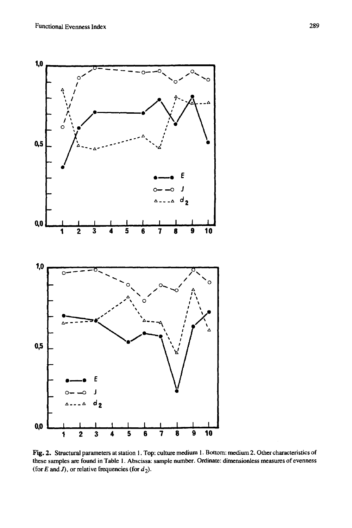

**Fig. 2. Structural parameters at station 1. Top: culture medium 1. Bottom: medium 2. Other characteristics of these samples are found in Table 1. Abscissa: sample number. Ordinate: dimensionless measures of evenness**  (for E and J), or relative frequencies (for  $d_2$ ).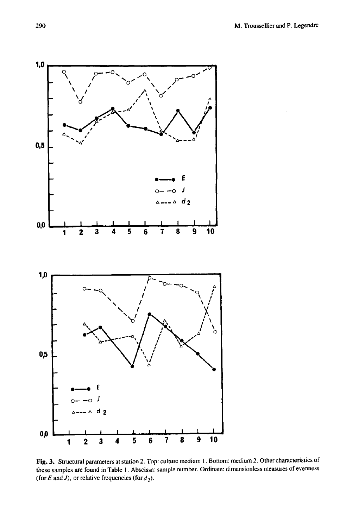

Fig. 3. Structural parameters at station 2. Top: culture medium 1. Bottom: medium 2. Other characteristics of these samples are found in Table I. Abscissa: sample number. Ordinate: dimensionless measures of evenness (for E and J), or relative frequencies (for  $d_2$ ).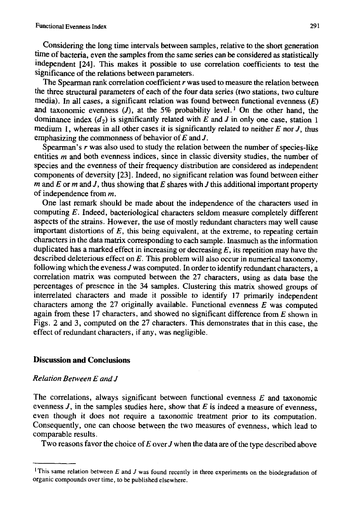Considering the long time intervals between samples, relative to the short generation time of bacteria, even the samples from the same series can be considered as statistically independent [24]. This makes it possible to use correlation coefficients to test the significance of the relations between parameters.

The Spearman rank correlation coefficient r was used to measure the relation between the three structural parameters of each of the four data series (two stations, two culture media). In all cases, a significant relation was found between functional evenness  $(E)$ and taxonomic evenness  $(J)$ , at the 5% probability level.<sup>1</sup> On the other hand, the dominance index  $(d<sub>2</sub>)$  is significantly related with E and J in only one case, station 1 medium 1, whereas in all other cases it is significantly related to neither  $E$  nor  $J$ , thus emphasizing the commonness of behavior of  $E$  and  $J$ .

Spearman's r was also used to study the relation between the number of species-like entities *m* and both evenness indices, since in classic diversity studies, the number of species and the evenness of their frequency distribution are considered as independent components of deversity [23]. Indeed, no significant relation was found between either m and E or m and J, thus showing that E shares with J this additional important property of independence from m.

One last remark should be made about the independence of the characters used in computing E. Indeed, bacteriological characters seldom measure completely different aspects of the strains. However, the use of mostly redundant characters may well cause important distortions of  $E$ , this being equivalent, at the extreme, to repeating certain characters in the data matrix corresponding to each sample. Inasmuch as the information duplicated has a marked effect in increasing or decreasing  $E$ , its repetition may have the described deleterious effect on  $E$ . This problem will also occur in numerical taxonomy, following which the eveness J was computed. In order to identify redundant characters, a correlation matrix was computed between the 27 characters, using as data base the percentages of presence in the 34 samples. Clustering this matrix showed groups of interrelated characters and made it possible to identify 17 primarily independent characters among the  $27$  originally available. Functional evenness  $E$  was computed again from these  $17$  characters, and showed no significant difference from  $E$  shown in Figs. 2 and 3, computed on the 27 characters. This demonstrates that in this case, the effect of redundant characters, if any, was negligible.

### **Discussion and Conclusions**

#### *Relation Between E and J*

The correlations, always significant between functional evenness  $E$  and taxonomic evenness  $J$ , in the samples studies here, show that  $E$  is indeed a measure of evenness, even though it does not require a taxonomic treatment prior to its computation. Consequently, one can choose between the two measures of evenness, which lead to comparable results.

Two reasons favor the choice of  $E$  over  $J$  when the data are of the type described above

<sup>&</sup>lt;sup>1</sup>This same relation between  $E$  and  $J$  was found recently in three experiments on the biodegradation of organic compounds over time, to be published elsewhere.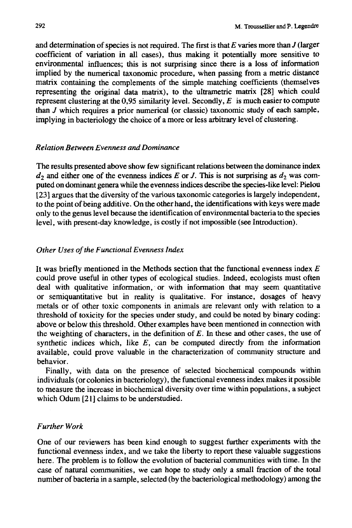and determination of species is not required. The first is that  $E$  varies more than  $J$  (larger coefficient of variation in all cases), thus making it potentially more sensitive to environmental influences; this is not surprising since there is a loss of information implied by the numerical taxonomic procedure, when passing from a metric distance matrix containing the complements of the simple matching coefficients (themselves representing the original data matrix), to the ultrametric matrix [28] which could represent clustering at the  $0.95$  similarity level. Secondly,  $E$  is much easier to compute than J which requires a prior numerical (or classic) taxonomic study of each sample, implying in bacteriology the choice of a more or less arbitrary level of clustering.

#### *Relation Between Evenness and Dominance*

The results presented above show few significant relations between the dominance index  $d_2$  and either one of the evenness indices E or J. This is not surprising as  $d_2$  was computed on dominant genera while the evenness indices describe the species-like level: Pielou [23] argues that the diversity of the various taxonomic categories is largely independent, to the point of being additive. On the other hand, the identifications with keys were made only to the genus level because the identification of environmental bacteria to the species level, with present-day knowledge, is costly if not impossible (see Introduction).

#### *Other Uses of the Functional Evenness Index*

It was briefly mentioned in the Methods section that the functional evenness index  $E$ could prove useful in other types of ecological studies. Indeed, ecologists must often deal with qualitative information, or with information that may seem quantitative or semiquantitative but in reality is qualitative. For instance, dosages of heavy metals or of other toxic components in animals are relevant only with relation to a threshold of toxicity for the species under study, and could be noted by binary coding: above or below this threshold. Other examples have been mentioned in connection with the weighting of characters, in the definition of  $E$ . In these and other cases, the use of synthetic indices which, like  $E$ , can be computed directly from the information available, could prove valuable in the characterization of community structure and behavior.

Finally, with data on the presence of selected biochemical compounds within individuals (or colonies in bacteriology), the functional evenness index makes it possible to measure the increase in biochemical diversity over time within populations, a subject which Odum [21] claims to be understudied.

## *Further Work*

One of our reviewers has been kind enough to suggest further experiments with the functional evenness index, and we take the liberty to report these valuable suggestions here. The problem is to follow the evolution of bacterial communities with time. In the case of natural communities, we can hope to study only a small fraction of the total number of bacteria in a sample, selected (by the bacteriological methodology) among the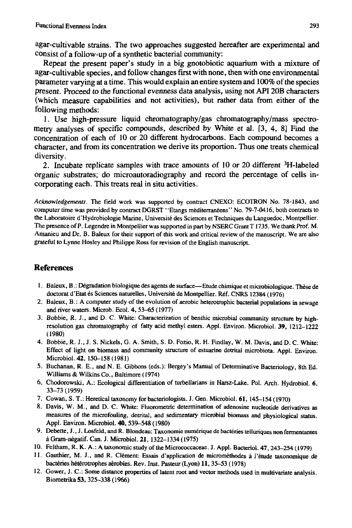**agar-cultivable strains. The two approaches suggested hereafter are experimental and consist of a follow-up of a synthetic bacterial community:** 

**Repeat the present paper's study in a big gnotobiotic aquarium with a mixture of agar-cultivable species, and follow changes first with none, then with one environmental parameter varying at a time. This would explain an entire system and 100% of the species present. Proceed to the functional evenness data analysis, using not AP120B characters (which measure capabilities and not activities), but rather data from either of the following methods:** 

**1. Use high-pressure liquid chromatography/gas chromatography/mass spectrometry analyses of specific compounds, described by White et al. [3, 4, 8] Find the concentration of each of 10 or 20 different hydrocarbons. Each compound becomes a character, and from its concentration we derive its proportion. Thus one treats chemical diversity.** 

**2. Incubate replicate samples with trace amounts of 10 or 20 different 3H-labeled organic substrates; do microantoradiography and record the percentage of cells incorporating each. This treats real in situ activities.** 

*Acknowledgements. The* field work was supported by contract CNEXO: ECOTRON No. 78-1843, and computer time was provided by contract DGRST "Etangs méditerranéens" No. 79-7-0416, both contracts to the Laboratoire d'Hydrobiologie Marine, Universit6 des Sciences et Techniques du Languedoc, Montpellier. The presence of P. Legendre in Montpellier was supported in part by NSERC Grant T 1735. We thank Prof. M. Amanieu and Dr. B. Baleux for their support of this work and critical review of the manuscript. We are also grateful to Lynne Hosley and Philippe Ross for revision of the English manuscript.

## **References**

- I. Baleux, B.: Dégradation biologique des agents de surface---Etude chimique et microbiologique. Thèse de doctorat d'Etat ès Sciences naturelles, Université de Montpellier. Réf. CNRS 12384 (1976)
- 2. Baleux, B.: A computer study of the evolution of aerobic heterotrophic bacterial populations in sewage and river waters. Microb. Ecol. 4, 53-65 (1977)
- 3. Bobble, R, J., and D. C. White: Characterization of benthic microbial community structure by highresolution gas chromatography of fatty acid methyl esters. Appl. Environ. Microbiol. 39, 1212-1222 (1980)
- 4. Bobble, R. J., J. S. Nickels, G. A. Smith, S. D. Fozio, R. H. Findlay, W. M. Davis, and D. C. White: Effect of light on biomass and community structure of estuarine detrital microbiota. Appl. Environ. Microbiol. 42, 150-158 (1981)
- 5. Buchanan, R. E., and N. E. Gibbons (eds.): Bergey's Manual of Determinative Bacteriology, 8th Ed. Williams & Wilkins Co., Baltimore (1974)
- 6. Chodorowski, A.: Ecological differentiation of turbellarians in Harsz-Lake. Pol. Arch. Hydrobiol. 6, 33-73 (1959)
- 7. Cowan, S. T.: Heretical taxonomy for bacteriologists. J. Gen. Microbiol. 61,145-154 (1970)
- 8. Davis, W. M., and D. C. White: Fiuorometric determination of adenosine nucleotide derivatives as measures of the mierofouling, detrital, and sedimentary microbial biomass and physiological status. Appl. Environ. Microbiol. 40, 539-548 (1980)
- 9. Debette, J., J. Losfeld, and R. Blondeau: Taxonomie numérique de bactéries telluriques non fermentantes à Gram-négatif. Can. J. Microbiol. 21, 1322-1334 (1975)
- 10. Feltham, R. K. A.: A taxonomic study of the Mieroeoccaceae. J. Appl. Bacteriol. 47,243-254 (1979)
- 11. Gauthier, M. J., and R. Clément: Essais d'application de microméthodes à l'étude taxonomique de bactéries hétérotrophes aérobies. Rev. Inst. Pasteur (Lyon) 11, 35-53 (1978)
- 12. Gower, J. C.: Some distance properties of latent root and vector methods used in multivariate analysis. Biometrika 53, 325--338 (1966)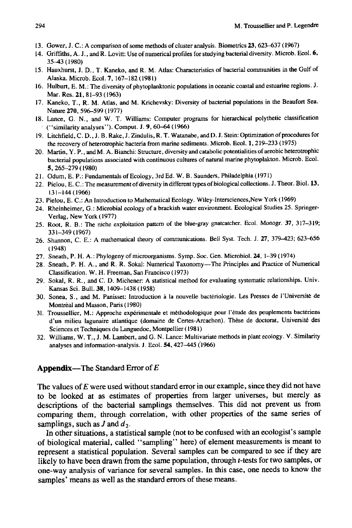- 13. Gower, J. C.: A comparison of some methods of cluster analysis. Biometrics 23,623-637 (1967)
- 14. Griffiths, A. J., and R. Lovitt: Use of numerical profiles for studying bacterial diversity. Microb. Ecol. 6, 35-43 (1980)
- 15. Hanxhurst, J. D., T. Kaneko, and R. M. Atlas: Characteristics of bacterial communities in the Gulf of Alaska. Microb. Ecol. 7, 167-182 (1981)
- 16. Hulburt, E. M.: The diversity of phytoplanktonic populations in oceanic coastal and estuarine regions. J. Mar. Res. 21, 81-93 (1963)
- 17. Kaneko, T., R. M. Atlas, and M. Krichevsky: Diversity of bacterial populations in the Beaufort Sea. Nature 270, 596-599 (1977)
- 18. Lance, G. N., and W. T. Williams: Computer programs for hierarchical polythetic classification 9 ("similarity analyses"). Comput. J. 9, 60-64 (1966)
- 19. Litchfield, C. D., J. B. Rake, J. Zindulis, R. T. Watanabe, and D. J. Stein: Optimization of procedures for the recovery of heterotrophic bacteria from marine sediments. Microb. Ecol. 1, 219-233 (1975)
- 20. Martin, Y. P., and M. A. Bianchi: Structure, diversity and catabolic potentialities of aerobic heterotrophic bacterial populations associated with continuous cultures of natural marine phytoplakton. Microb. Ecol. 5,265• (1980)
- 21. Odum, E. P.: Fundamentals of Ecology, 3rd Ed. W. B. Saunders, Philadelphia (1971)
- 22. Pielou, E. C.: The measurement of diversity in different types of biological collections. J. Theor. Biol. 13, 131-144 (1966)
- 23. Pielou, E. C.: An Introduction to Mathematical Ecology. Wiley-Intersciences,New York (1969)
- 24. Rheinheimer, G.: Microbial ecology of a brackish water environment. Ecological Studies 25. Springer-Verlag, New York (1977)
- 25. Root, R. B.: The niche exploitation pattern of the blue-gray gnatcatcher. Ecol. Monogr. 37, 317-319; 331-349 (1967)
- 26. Shannon, C. E.: A mathematical theory of communications. Bell Syst. Tech. J. 27, 379-423; 623-656 (1948)
- 27. Sneath, P. H. A.: Phylogeny of microorganisms. Symp. Soc. Gen. Microbiol. 24, 1-39 (1974)
- 28. Sneath, P. H. A., and R. R. Sokal: Numerical Taxonomy--The Principles and Practice of Numerical Classification. W. H. Freeman, San Francisco (1973)
- 29. Sokal, R. R., and C. D. Michener: A statistical method for evaluating systematic relationships. Univ. Kansas Sci. Bull. 38, 1409-1438 (1958)
- 30. Sonea, S., and M. Panisset: Introduction à la nouvelle bactériologie. Les Presses de l'Université de Montréal and Masson, Paris (1980)
- 31. Troussellier, M.: Approche expérimentale et méthodologique pour l'étude des peuplements bactériens d'un milieu lagunaire atlantique (domaine de Certes-Arcachon). Thèse de doctorat, Université des Sciences et Techniques du Languedoc, Montpellier ( 1981)
- 32. Williams, W. T., J. M. Lambert, and G. N. Lance: Multivariate methods in plant ecology. V. Similarity analyses and information-analysis. J. Ecol. 54,427-445 (1966)

#### **Appendix-The Standard Error of E**

The values of  $E$  were used without standard error in our example, since they did not have to be looked at as estimates of properties from larger universes, but merely as descriptions of the bacterial samplings themselves. This did not prevent us from comparing them, through correlation, with other properties of the same series of samplings, such as J and  $d_2$ .

In other situations, a statistical sample (not to be confused with an ecologist's sample of biological material, called "sampling" here) of element measurements is meant to represent a statistical population. Several samples can be compared to see if they are likely to have been drawn from the same population, through t-tests for two samples, or one-way analysis of variance for several samples. In this case, one needs to know the samples' means as well as the standard errors of these means.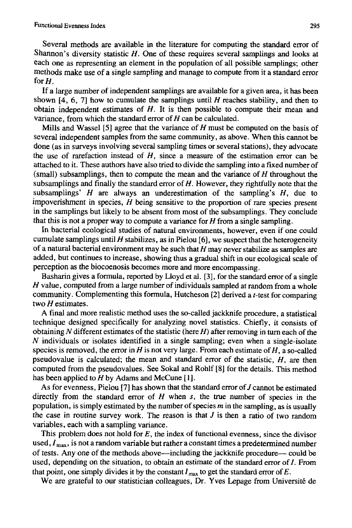Several methods are available in the literature for computing the standard error of Shannon's diversity statistic H. One of these requires several samplings and looks at each one as representing an element in the population of all possible samplings; other methods make use of a single sampling and manage to compute from it a standard error for  $H$ .

If a large number of independent samplings are available for a given area, it has been shown  $[4, 6, 7]$  how to cumulate the samplings until H reaches stability, and then to obtain independent estimates of  $H$ . It is then possible to compute their mean and variance, from which the standard error of  $H$  can be calculated.

Mills and Wassel [5] agree that the variance of H must be computed on the basis of several independent samples from the same community, as above. When this cannot be done (as in surveys involving several sampling times or several stations), they advocate the use of rarefaction instead of  $H$ , since a measure of the estimation error can be attached to it. These authors have also tried to divide the sampling into a fixed number of  $(small)$ ) subsamplings, then to compute the mean and the variance of  $H$  throughout the subsamplings and finally the standard error of  $H$ . However, they rightfully note that the subsamplings'  $H$  are always an underestimation of the sampling's  $H$ , due to impoverishment in species,  $H$  being sensitive to the proportion of rare species present in the samplings but likely to be absent from most of the subsamplings. They conclude that this is not a proper way to compute a variance for  $H$  from a single sampling.

In bacterial ecological studies of natural environments, however, even if one could cumulate samplings until  $H$  stabilizes, as in Pielou [6], we suspect that the heterogeneity of a natural bacterial environment may be such that  $H$  may never stabilize as samples are added, but continues to increase, showing thus a gradual shift in our ecological scale of perception as the biocoenosis becomes more and more encompassing.

Basharin gives a formula, reported by Lloyd et al. [3], for the standard error of a single  $H$  value, computed from a large number of individuals sampled at random from a whole community. Complementing this formula, Hutcheson  $[2]$  derived a t-test for comparing two  $H$  estimates.

A final and more realistic method uses the so-called jackknife procedure, a statistical technique designed specifically for analyzing novel statistics. Chiefly, it consists of obtaining N different estimates of the statistic (here  $H$ ) after removing in turn each of the  $N$  individuals or isolates identified in a single sampling; even when a single-isolate species is removed, the error in  $H$  is not very large. From each estimate of  $H$ , a so-called pseudovalue is calculated; the mean and standard error of the statistic,  $H$ , are then computed from the pseudovalues. See Sokal and Rohlf [8] for the details. This method has been applied to  $H$  by Adams and McCune [1].

As for evenness, Pielou [7] has shown that the standard error of  $J$  cannot be estimated directly from the standard error of  $H$  when  $s$ , the true number of species in the population, is simply estimated by the number of species  $m$  in the sampling, as is usually the case in routine survey work. The reason is that  $J$  is then a ratio of two random variables, each with a sampling variance.

This problem does not hold for  $E$ , the index of functional evenness, since the divisor used,  $I_{\text{max}}$ , is not a random variable but rather a constant times a predetermined number of tests. Any one of the methods above--including the jackknife procedure-- could be used, depending on the situation, to obtain an estimate of the standard error of  $I$ . From that point, one simply divides it by the constant  $I_{\text{max}}$  to get the standard error of E.

We are grateful to our statistician colleagues, Dr. Yves Lepage from Université de